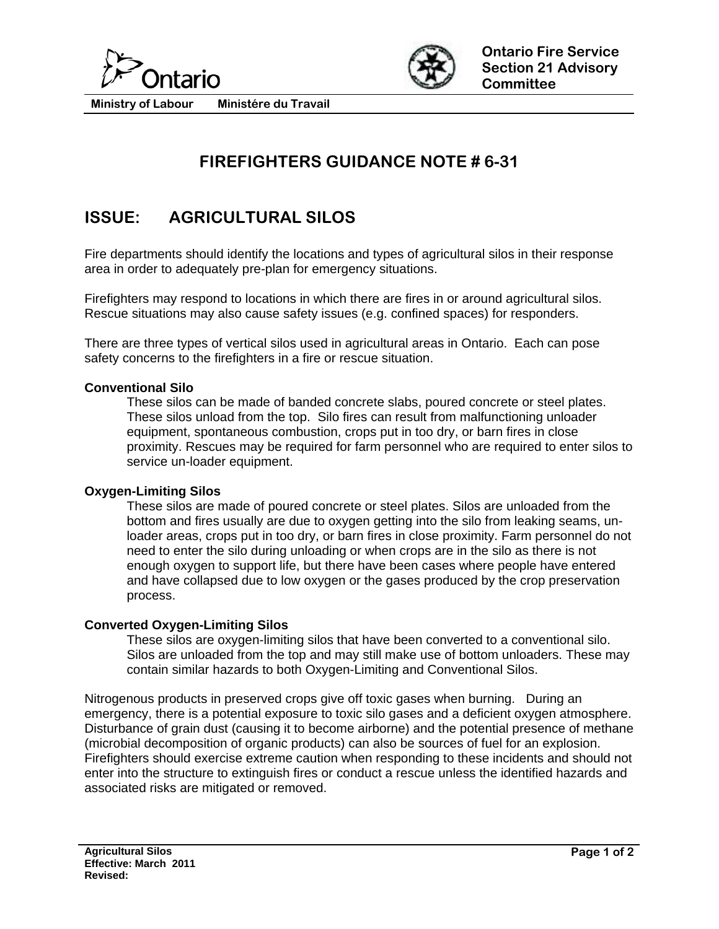



**Ministry of Labour Ministére du Travail** 

# **FIREFIGHTERS GUIDANCE NOTE # 6-31**

## **ISSUE: AGRICULTURAL SILOS**

Fire departments should identify the locations and types of agricultural silos in their response area in order to adequately pre-plan for emergency situations.

Firefighters may respond to locations in which there are fires in or around agricultural silos. Rescue situations may also cause safety issues (e.g. confined spaces) for responders.

There are three types of vertical silos used in agricultural areas in Ontario. Each can pose safety concerns to the firefighters in a fire or rescue situation.

### **Conventional Silo**

These silos can be made of banded concrete slabs, poured concrete or steel plates. These silos unload from the top. Silo fires can result from malfunctioning unloader equipment, spontaneous combustion, crops put in too dry, or barn fires in close proximity. Rescues may be required for farm personnel who are required to enter silos to service un-loader equipment.

### **Oxygen-Limiting Silos**

These silos are made of poured concrete or steel plates. Silos are unloaded from the bottom and fires usually are due to oxygen getting into the silo from leaking seams, unloader areas, crops put in too dry, or barn fires in close proximity. Farm personnel do not need to enter the silo during unloading or when crops are in the silo as there is not enough oxygen to support life, but there have been cases where people have entered and have collapsed due to low oxygen or the gases produced by the crop preservation process.

#### **Converted Oxygen-Limiting Silos**

These silos are oxygen-limiting silos that have been converted to a conventional silo. Silos are unloaded from the top and may still make use of bottom unloaders. These may contain similar hazards to both Oxygen-Limiting and Conventional Silos.

Nitrogenous products in preserved crops give off toxic gases when burning. During an emergency, there is a potential exposure to toxic silo gases and a deficient oxygen atmosphere. Disturbance of grain dust (causing it to become airborne) and the potential presence of methane (microbial decomposition of organic products) can also be sources of fuel for an explosion. Firefighters should exercise extreme caution when responding to these incidents and should not enter into the structure to extinguish fires or conduct a rescue unless the identified hazards and associated risks are mitigated or removed.